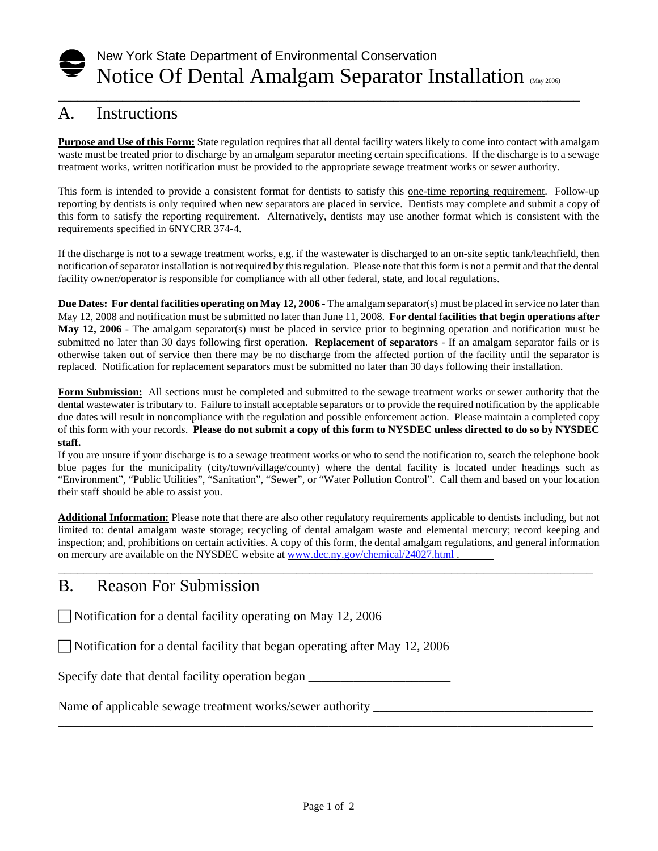# New York State Department of Environmental Conservation Notice Of Dental Amalgam Separator Installation (May 2006)

\_\_\_\_\_\_\_\_\_\_\_\_\_\_\_\_\_\_\_\_\_\_\_\_\_\_\_\_\_\_\_\_\_\_\_\_\_\_\_\_\_\_\_\_\_\_\_\_\_\_\_\_\_\_\_\_\_\_\_\_\_\_\_\_\_\_\_\_\_\_\_\_\_\_\_\_\_\_\_\_\_

### A. Instructions

**Purpose and Use of this Form:** State regulation requires that all dental facility waters likely to come into contact with amalgam waste must be treated prior to discharge by an amalgam separator meeting certain specifications. If the discharge is to a sewage treatment works, written notification must be provided to the appropriate sewage treatment works or sewer authority.

This form is intended to provide a consistent format for dentists to satisfy this one-time reporting requirement. Follow-up reporting by dentists is only required when new separators are placed in service. Dentists may complete and submit a copy of this form to satisfy the reporting requirement. Alternatively, dentists may use another format which is consistent with the requirements specified in 6NYCRR 374-4.

If the discharge is not to a sewage treatment works, e.g. if the wastewater is discharged to an on-site septic tank/leachfield, then notification of separator installation is not required by this regulation. Please note that this form is not a permit and that the dental facility owner/operator is responsible for compliance with all other federal, state, and local regulations.

**Due Dates: For dental facilities operating on May 12, 2006** - The amalgam separator(s) must be placed in service no later than May 12, 2008 and notification must be submitted no later than June 11, 2008. **For dental facilities that begin operations after May 12, 2006** - The amalgam separator(s) must be placed in service prior to beginning operation and notification must be submitted no later than 30 days following first operation. **Replacement of separators** - If an amalgam separator fails or is otherwise taken out of service then there may be no discharge from the affected portion of the facility until the separator is replaced. Notification for replacement separators must be submitted no later than 30 days following their installation.

**Form Submission:** All sections must be completed and submitted to the sewage treatment works or sewer authority that the dental wastewater is tributary to. Failure to install acceptable separators or to provide the required notification by the applicable due dates will result in noncompliance with the regulation and possible enforcement action. Please maintain a completed copy of this form with your records. **Please do not submit a copy of this form to NYSDEC unless directed to do so by NYSDEC staff.** 

If you are unsure if your discharge is to a sewage treatment works or who to send the notification to, search the telephone book blue pages for the municipality (city/town/village/county) where the dental facility is located under headings such as "Environment", "Public Utilities", "Sanitation", "Sewer", or "Water Pollution Control". Call them and based on your location their staff should be able to assist you.

**Additional Information:** Please note that there are also other regulatory requirements applicable to dentists including, but not limited to: dental amalgam waste storage; recycling of dental amalgam waste and elemental mercury; record keeping and inspection; and, prohibitions on certain activities. A copy of this form, the dental amalgam regulations, and general information on mercury are available on the NYSDEC website at www.dec.ny.gov/chemical/24027.html .

\_\_\_\_\_\_\_\_\_\_\_\_\_\_\_\_\_\_\_\_\_\_\_\_\_\_\_\_\_\_\_\_\_\_\_\_\_\_\_\_\_\_\_\_\_\_\_\_\_\_\_\_\_\_\_\_\_\_\_\_\_\_\_\_\_\_\_\_\_\_\_\_\_\_\_\_\_\_\_\_\_\_\_

#### B. Reason For Submission

 $\Box$  Notification for a dental facility operating on May 12, 2006

 $\Box$  Notification for a dental facility that began operating after May 12, 2006

Specify date that dental facility operation began

Name of applicable sewage treatment works/sewer authority \_\_\_\_\_\_\_\_\_\_\_\_\_\_\_\_\_\_\_\_\_\_

\_\_\_\_\_\_\_\_\_\_\_\_\_\_\_\_\_\_\_\_\_\_\_\_\_\_\_\_\_\_\_\_\_\_\_\_\_\_\_\_\_\_\_\_\_\_\_\_\_\_\_\_\_\_\_\_\_\_\_\_\_\_\_\_\_\_\_\_\_\_\_\_\_\_\_\_\_\_\_\_\_\_\_